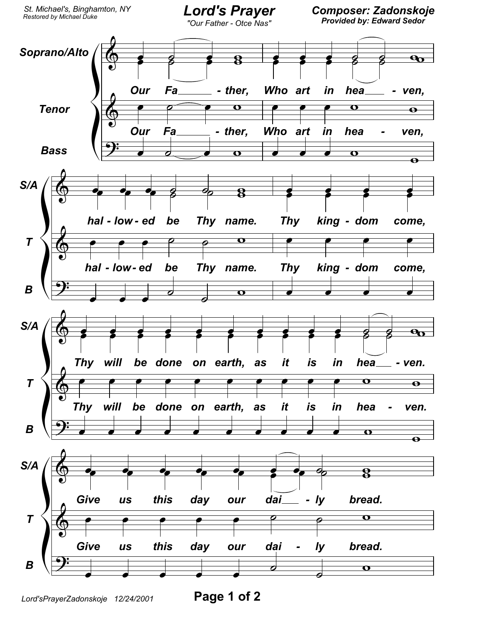